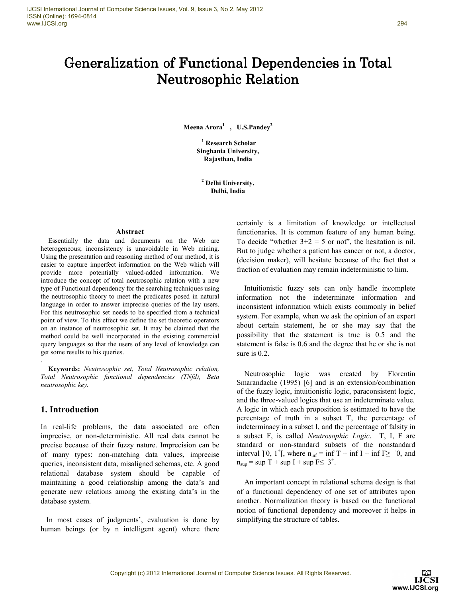# Generalization of Functional Dependencies in Total Neutrosophic Relation

**Meena Arora<sup>1</sup> , U.S.Pandey<sup>2</sup>**

**1 Research Scholar Singhania University, Rajasthan, India** 

**2 Delhi University, Delhi, India** 

#### **Abstract**

Essentially the data and documents on the Web are heterogeneous; inconsistency is unavoidable in Web mining. Using the presentation and reasoning method of our method, it is easier to capture imperfect information on the Web which will provide more potentially valued-added information. We introduce the concept of total neutrosophic relation with a new type of Functional dependency for the searching techniques using the neutrosophic theory to meet the predicates posed in natural language in order to answer imprecise queries of the lay users. For this neutrosophic set needs to be specified from a technical point of view. To this effect we define the set theoretic operators on an instance of neutrosophic set. It may be claimed that the method could be well incorporated in the existing commercial query languages so that the users of any level of knowledge can get some results to his queries.

**Keywords:** *Neutrosophic set, Total Neutrosophic relation, Total Neutrosophic functional dependencies (TNfd), Beta neutrosophic key.*

## **1. Introduction**

.

In real-life problems, the data associated are often imprecise, or non-deterministic. All real data cannot be precise because of their fuzzy nature. Imprecision can be of many types: non-matching data values, imprecise queries, inconsistent data, misaligned schemas, etc. A good relational database system should be capable of maintaining a good relationship among the data's and generate new relations among the existing data's in the database system.

 In most cases of judgments', evaluation is done by human beings (or by n intelligent agent) where there certainly is a limitation of knowledge or intellectual functionaries. It is common feature of any human being. To decide "whether  $3+2 = 5$  or not", the hesitation is nil. But to judge whether a patient has cancer or not, a doctor, (decision maker), will hesitate because of the fact that a fraction of evaluation may remain indeterministic to him.

Intuitionistic fuzzy sets can only handle incomplete information not the indeterminate information and inconsistent information which exists commonly in belief system. For example, when we ask the opinion of an expert about certain statement, he or she may say that the possibility that the statement is true is 0.5 and the statement is false is 0.6 and the degree that he or she is not sure is 0.2.

Neutrosophic logic was created by Florentin Smarandache (1995) [6] and is an extension/combination of the fuzzy logic, intuitionistic logic, paraconsistent logic, and the three-valued logics that use an indeterminate value. A logic in which each proposition is estimated to have the percentage of truth in a subset T, the percentage of indeterminacy in a subset I, and the percentage of falsity in a subset F, is called *Neutrosophic Logic*. T, I, F are standard or non-standard subsets of the nonstandard interval ]<sup>-0</sup>, 1<sup>+</sup>[, where  $n_{inf} = inf T + inf I + inf F \ge -0$ , and  $n_{\text{sup}} = \text{sup } T + \text{sup } I + \text{sup } F \leq 3^+$ .

An important concept in relational schema design is that of a functional dependency of one set of attributes upon another. Normalization theory is based on the functional notion of functional dependency and moreover it helps in simplifying the structure of tables.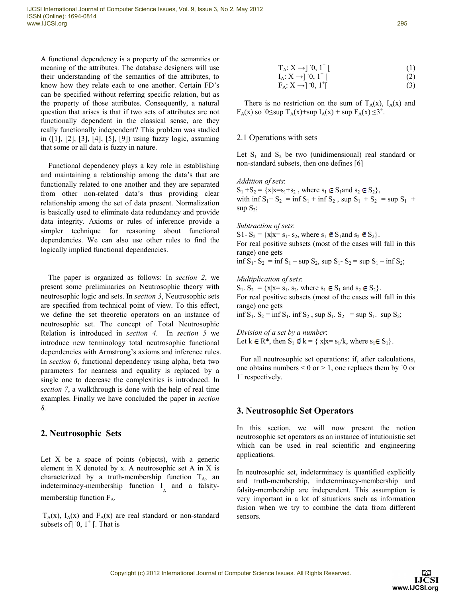A functional dependency is a property of the semantics or meaning of the attributes. The database designers will use their understanding of the semantics of the attributes, to know how they relate each to one another. Certain FD's can be specified without referring specific relation, but as the property of those attributes. Consequently, a natural question that arises is that if two sets of attributes are not functionally dependent in the classical sense, are they really functionally independent? This problem was studied in ([1], [2], [3], [4], [5], [9]) using fuzzy logic, assuming that some or all data is fuzzy in nature.

Functional dependency plays a key role in establishing and maintaining a relationship among the data's that are functionally related to one another and they are separated from other non-related data's thus providing clear relationship among the set of data present. Normalization is basically used to eliminate data redundancy and provide data integrity. Axioms or rules of inference provide a simpler technique for reasoning about functional dependencies. We can also use other rules to find the logically implied functional dependencies.

The paper is organized as follows: In *section 2*, we present some preliminaries on Neutrosophic theory with neutrosophic logic and sets. In *section 3*, Neutrosophic sets are specified from technical point of view. To this effect, we define the set theoretic operators on an instance of neutrosophic set. The concept of Total Neutrosophic Relation is introduced in *section 4*. In *section 5* we introduce new terminology total neutrosophic functional dependencies with Armstrong's axioms and inference rules. In *section 6*, functional dependency using alpha, beta two parameters for nearness and equality is replaced by a single one to decrease the complexities is introduced. In *section 7*, a walkthrough is done with the help of real time examples. Finally we have concluded the paper in *section 8.* 

# **2. Neutrosophic Sets**

Let  $X$  be a space of points (objects), with a generic element in X denoted by x. A neutrosophic set A in X is characterized by a truth-membership function  $T_A$ , and indeterminacy-membership function  $I_A$  and a falsitymembership function  $F_A$ .

 $T_A(x)$ ,  $I_A(x)$  and  $F_A(x)$  are real standard or non-standard subsets of  $\left[$   $\left[0, 1\right]$   $\left[ \right]$ . That is

$$
I_A: X \to ]0, 1^+ [
$$
 (2)

$$
F_A: X \to J^0, 1^+ \rbrack \tag{3}
$$

There is no restriction on the sum of  $T_A(x)$ ,  $I_A(x)$  and  $F_A(x)$  so  $0 \leq \sup T_A(x) + \sup I_A(x) + \sup F_A(x) \leq 3^+$ .

## 2.1 Operations with sets

Let  $S_1$  and  $S_2$  be two (unidimensional) real standard or non-standard subsets, then one defines [6]

*Addition of sets*:

 $S_1 + S_2 = \{x | x = s_1 + s_2, \text{ where } s_1 \in S_1 \text{ and } s_2 \in S_2\},\$ with  $\inf S_1 + S_2 = \inf S_1 + \inf S_2$ ,  $\sup S_1 + S_2 = \sup S_1 +$ sup  $S_2$ ;

*Subtraction of sets*:

S1-  $S_2 = \{x|x=s_1-s_2, \text{ where } s_1 \in S_1 \text{ and } s_2 \in S_2\}.$ For real positive subsets (most of the cases will fall in this range) one gets inf  $S_1 - S_2 = \inf S_1 - \sup S_2$ , sup  $S_1 - S_2 = \sup S_1 - \inf S_2$ ;

*Multiplication of sets*:

 $S_1$ ,  $S_2 = \{x|x=s_1, s_2, \text{ where } s_1 \in S_1 \text{ and } s_2 \in S_2\}.$ For real positive subsets (most of the cases will fall in this range) one gets

inf  $S_1$ .  $S_2$  = inf  $S_1$ . inf  $S_2$ , sup  $S_1$ .  $S_2$  = sup  $S_1$ . sup  $S_2$ ;

*Division of a set by a number*: Let  $k \in \mathbb{R}^*$ , then  $S_1 \mathcal{Q} k = \{ x | x = s_1/k, \text{ where } s_1 \in S_1 \}.$ 

 For all neutrosophic set operations: if, after calculations, one obtains numbers  $\leq 0$  or  $\geq 1$ , one replaces them by  $\overline{\phantom{a}}0$  or 1<sup>+</sup> respectively.

# **3. Neutrosophic Set Operators**

In this section, we will now present the notion neutrosophic set operators as an instance of intutionistic set which can be used in real scientific and engineering applications.

In neutrosophic set, indeterminacy is quantified explicitly and truth-membership, indeterminacy-membership and falsity-membership are independent. This assumption is very important in a lot of situations such as information fusion when we try to combine the data from different sensors.

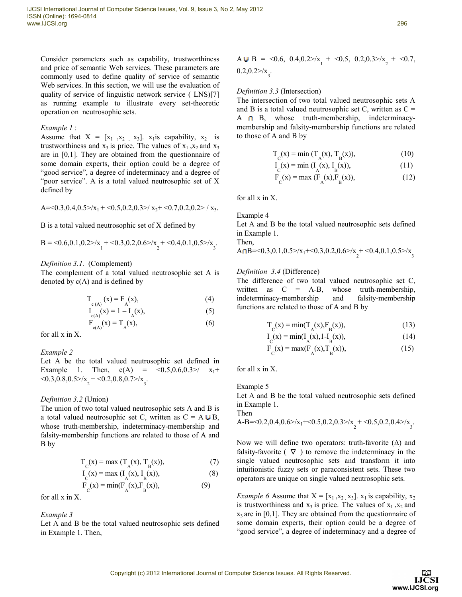Consider parameters such as capability, trustworthiness and price of semantic Web services. These parameters are commonly used to define quality of service of semantic Web services. In this section, we will use the evaluation of quality of service of linguistic network service ( LNS)[7] as running example to illustrate every set-theoretic operation on neutrosophic sets.

#### *Example 1* :

Assume that  $X = [x_1, x_2, x_3]$ .  $x_1$  is capability,  $x_2$  is trustworthiness and  $x_3$  is price. The values of  $x_1, x_2$  and  $x_3$ are in [0,1]. They are obtained from the questionnaire of some domain experts, their option could be a degree of "good service", a degree of indeterminacy and a degree of "poor service". A is a total valued neutrosophic set of X defined by

A=<0.3,0.4,0.5>
$$
\times
$$
x<sub>1</sub> + <0.5,0.2,0.3 $\times$ x<sub>2</sub>+ <0.7,0.2,0.2 $\times$  x<sub>3</sub>.

B is a total valued neutrosophic set of X defined by

$$
B = \langle 0.6, 0.1, 0.2 \rangle / x_1 + \langle 0.3, 0.2, 0.6 \rangle / x_2 + \langle 0.4, 0.1, 0.5 \rangle / x_3.
$$

#### *Definition 3.1.* (Complement)

The complement of a total valued neutrosophic set A is denoted by  $c(A)$  and is defined by

$$
T_{c(A)}(x) = F_A(x),
$$
 (4)

$$
I_{c(A)}(x) = 1 - I_A(x),
$$
 (5)

$$
\mathbf{F}_{\mathbf{c}(\mathbf{A})}(\mathbf{x}) = \mathbf{T}_{\mathbf{A}}(\mathbf{x}),\tag{6}
$$

for all x in X.

*Example 2* 

Let A be the total valued neutrosophic set defined in Example 1. Then,  $c(A) = \langle 0.5, 0.6, 0.3 \rangle / x_1 +$  $<$ 0.3,0.8,0.5>/x<sub>2</sub> +  $<$ 0.2,0.8,0.7>/x<sub>3</sub>.

#### *Definition 3.2* (Union)

The union of two total valued neutrosophic sets A and B is a total valued neutrosophic set C, written as  $C = A \cup B$ , whose truth-membership, indeterminacy-membership and falsity-membership functions are related to those of A and B by

$$
T_c(x) = max(T_A(x), T_B(x)),
$$
 (7)

$$
I_{C}(x) = \max (I_{A}(x), I_{B}(x)),
$$
\n(8)

$$
F_C(x) = \min(F_A(x), F_B(x)),
$$
 (9)

for all x in X.

*Example 3* 

Let A and B be the total valued neutrosophic sets defined in Example 1. Then,

A **U** B = 
$$
0.6
$$
,  $0.4$ ,  $0.2$ ,  $0.2$ ,  $0.5$ ,  $0.2$ ,  $0.3$ ,  $0.2$ ,  $0.2$ ,  $0.2$ ,  $0.2$ ,  $0.2$ ,  $0.2$ ,  $0.2$ ,  $0.2$ ,  $0.2$ ,  $0.2$ ,  $0.2$ ,  $0.2$ ,  $0.2$ ,  $0.2$ ,  $0.2$ ,  $0.2$ ,  $0.2$ ,  $0.2$ ,  $0.2$ ,  $0.2$ ,  $0.2$ ,  $0.2$ ,  $0.2$ ,  $0.2$ ,  $0.2$ ,  $0.2$ ,  $0.2$ ,  $0.2$ ,  $0.2$ ,  $0.2$ ,  $0.2$ ,  $0.2$ ,  $0.2$ ,  $0.2$ ,  $0.2$ ,  $0.2$ ,  $0.2$ ,  $0.2$ ,  $0.2$ ,  $0.2$ ,  $0.2$ ,  $0.2$ ,  $0.2$ ,  $0.2$ ,  $0.2$ ,  $0.2$ ,  $0.2$ ,  $0.2$ ,  $0.2$ ,  $0.2$ ,  $0.2$ ,  $0.2$ ,  $0.2$ ,  $0.2$ ,  $0.2$ ,  $0.2$ ,  $0.2$ ,  $0.2$ ,  $0.2$ ,  $0.2$ ,  $0.2$ ,  $0.2$ ,  $0.2$ ,  $0.2$ ,  $0.2$ ,  $0.2$ ,  $0.2$ ,  $0.2$ ,  $0.2$ ,  $0.2$ ,  $0.2$ ,  $0.2$ ,  $0.2$ ,  $0.2$ ,  $0.2$ ,  $0.2$ ,  $0.2$ 

#### *Definition 3.3* (Intersection)

The intersection of two total valued neutrosophic sets A and B is a total valued neutrosophic set C, written as  $C =$ A D B, whose truth-membership, indeterminacymembership and falsity-membership functions are related to those of A and B by

$$
T_{C}(x) = \min (T_{A}(x), T_{B}(x)),
$$
 (10)

$$
I_{C}(x) = \min (I_{A}(x), I_{B}(x)),
$$
\n(11)

$$
F_C(x) = \max (F_A(x), F_B(x)),
$$
 (12)

for all x in X.

Example 4

Let A and B be the total valued neutrosophic sets defined in Example 1.

Then,  
 
$$
AnB = 0.3, 0.1, 0.5 > x_1 + 0.3, 0.2, 0.6 > x_2 + 0.4, 0.1, 0.5 > x_3
$$

#### *Definition 3.4* (Difference)

The difference of two total valued neutrosophic set C, written as C = A-B, whose truth-membership, indeterminacy-membership and falsity-membership functions are related to those of A and B by

$$
T_{C}(x) = min(T_{A}(x), F_{B}(x)),
$$
\n(13)

$$
I_{C}(x) = min(I_{A}(x), 1 - I_{B}(x)),
$$
\n(14)

$$
F_C(x) = max(F_A(x), T_B(x)),
$$
 (15)

for all x in X.

Example 5

Let A and B be the total valued neutrosophic sets defined in Example 1.

#### Then

A-B=<0.2,0.4,0.6> 
$$
\times
$$
<sub>1</sub>+<0.5,0.2,0.3>  $\times$ <sub>2</sub> + <0.5,0.2,0.4>  $\times$ <sub>3</sub>.

Now we will define two operators: truth-favorite  $(∆)$  and falsity-favorite ( $\nabla$ ) to remove the indeterminacy in the single valued neutrosophic sets and transform it into intuitionistic fuzzy sets or paraconsistent sets. These two operators are unique on single valued neutrosophic sets.

*Example 6* Assume that  $X = [x_1, x_2, x_3]$ .  $x_1$  is capability,  $x_2$ is trustworthiness and  $x_3$  is price. The values of  $x_1, x_2$  and  $x_3$  are in [0,1]. They are obtained from the questionnaire of some domain experts, their option could be a degree of "good service", a degree of indeterminacy and a degree of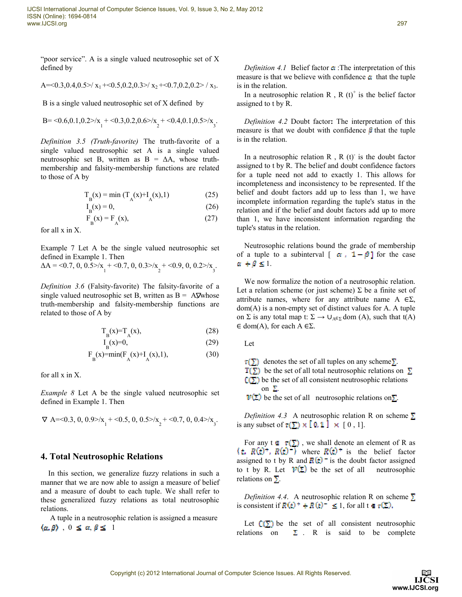"poor service". A is a single valued neutrosophic set of X defined by

A=<0.3,0.4,0.5>/ x<sup>1</sup> +<0.5,0.2,0.3>/ x<sup>2</sup> +<0.7,0.2,0.2> / x3.

B is a single valued neutrosophic set of X defined by

$$
B{=}{<}0.6{,}0.1{,}0.2{>} / x_1{+}{<}0.3{,}0.2{,}0.6{>} / x_2{+}{<}0.4{,}0.1{,}0.5{>} / x_3.
$$

*Definition 3.5 (Truth-favorite)* The truth-favorite of a single valued neutrosophic set A is a single valued neutrosophic set B, written as  $B = \Delta A$ , whose truthmembership and falsity-membership functions are related to those of A by

$$
T_B(x) = \min (T_A(x) + I_A(x), 1)
$$
 (25)

$$
I_B(x) = 0,\t(26)
$$

$$
F_B(x) = F_A(x),\tag{27}
$$

for all x in X.

Example 7 Let A be the single valued neutrosophic set defined in Example 1. Then

$$
\Delta A = 0.7, 0, 0.5 > |x_1 + 0.7, 0, 0.3 > |x_2 + 0.9, 0, 0.2 > |x_3.
$$

*Definition 3.6* (Falsity-favorite) The falsity-favorite of a single valued neutrosophic set B, written as  $B = A \nabla$  whose truth-membership and falsity-membership functions are related to those of A by

$$
T_B(x) = T_A(x),\tag{28}
$$

$$
I_{\mathbf{R}}(x)=0,\t(29)
$$

$$
F_B(x) = min(F_A(x) + I_A(x), 1),
$$
 (30)

for all x in X.

*Example 8* Let A be the single valued neutrosophic set defined in Example 1. Then

$$
\nabla\ A{=}{<}0.3, \, 0, \, 0.9{>} / x_{_1}{+}{<}0.5, \, 0, \, 0.5{>} / x_{_2}{+}{<}0.7, \, 0, \, 0.4{>} / x_{_3}.
$$

## **4. Total Neutrosophic Relations**

In this section, we generalize fuzzy relations in such a manner that we are now able to assign a measure of belief and a measure of doubt to each tuple. We shall refer to these generalized fuzzy relations as total neutrosophic relations.

 A tuple in a neutrosophic relation is assigned a measure  $(a, \beta)$ ,  $0 \le a, \beta \le 1$ 

*Definition 4.1* Belief factor  $\alpha$ :The interpretation of this measure is that we believe with confidence  $\alpha$  that the tuple is in the relation.

In a neutrosophic relation R, R  $(t)^+$  is the belief factor assigned to t by R.

*Definition 4.2* Doubt factor**:** The interpretation of this measure is that we doubt with confidence  $\beta$  that the tuple is in the relation.

In a neutrosophic relation  $R$ ,  $R$  (t) is the doubt factor assigned to t by R. The belief and doubt confidence factors for a tuple need not add to exactly 1. This allows for incompleteness and inconsistency to be represented. If the belief and doubt factors add up to less than 1, we have incomplete information regarding the tuple's status in the relation and if the belief and doubt factors add up to more than 1, we have inconsistent information regarding the tuple's status in the relation.

Neutrosophic relations bound the grade of membership of a tuple to a subinterval  $[\alpha, 1-\beta]$  for the case  $\alpha + \beta \leq 1.$ 

We now formalize the notion of a neutrosophic relation. Let a relation scheme (or just scheme)  $\Sigma$  be a finite set of attribute names, where for any attribute name  $A \in \Sigma$ , dom(A) is a non-empty set of distinct values for A. A tuple on  $\Sigma$  is any total map t:  $\Sigma \rightarrow \cup_{A \in \Sigma}$  dom (A), such that t(A)  $\in$  dom(A), for each A  $\in \Sigma$ .

Let

 $\tau(\Sigma)$  denotes the set of all tuples on any scheme  $\Sigma$ .  $T(\Sigma)$  be the set of all total neutrosophic relations on  $\Sigma$  $C(\Sigma)$  be the set of all consistent neutrosophic relations on  $\Sigma$ .

 $\mathcal{V}(\Sigma)$  be the set of all neutrosophic relations on  $\Sigma$ .

*Definition 4.3* A neutrosophic relation R on scheme  $\Sigma$ is any subset of  $\tau(\Sigma) \times [0, 1] \times [0, 1]$ .

For any  $t \in \tau(\Sigma)$ , we shall denote an element of R as where  $\mathbf{R}(t)^+$  is the belief factor assigned to t by R and  $\mathbf{R}(t)$  is the doubt factor assigned to t by R. Let  $\mathcal{V}(\Sigma)$  be the set of all neutrosophic relations on  $\Sigma$ .

*Definition 4.4.* A neutrosophic relation R on scheme  $\Sigma$ is consistent if  $R(t)^+ + R(t)^- \leq 1$ , for all  $t \in \tau(\Sigma)$ .

Let  $\mathbb{C}(\Sigma)$  be the set of all consistent neutrosophic relations on  $\Sigma$ . R is said to be complete

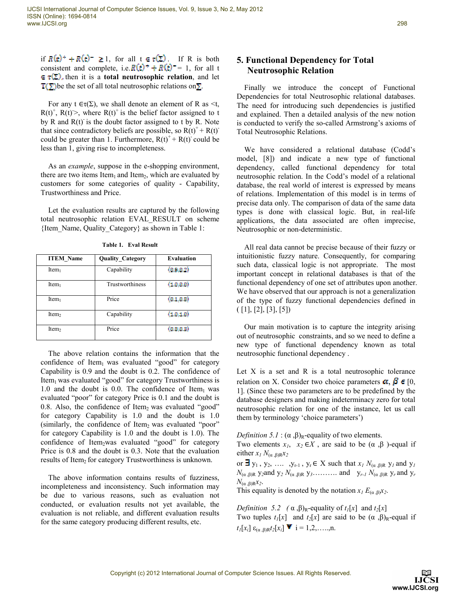if  $R(t)^+ + R(t)^- \ge 1$ , for all  $t \in \tau(\Sigma)$ . If R is both consistent and complete, i.e.  $R(t)^+ + R(t)^- = 1$ , for all t  $\in \tau(\Sigma)$ , then it is a **total neutrosophic relation**, and let  $T(\Sigma)$  be the set of all total neutrosophic relations on  $\Sigma$ .

For any  $t \in \tau(\Sigma)$ , we shall denote an element of R as <t,  $R(t)^{+}$ ,  $R(t)$  >, where  $R(t)^{+}$  is the belief factor assigned to t by R and  $R(t)$  is the doubt factor assigned to t by R. Note that since contradictory beliefs are possible, so  $R(t)^+ + R(t)^$ could be greater than 1. Furthermore,  $R(t)^+ + R(t)$  could be less than 1, giving rise to incompleteness.

As an *example*, suppose in the e-shopping environment, there are two items Item<sub>1</sub> and Item<sub>2</sub>, which are evaluated by customers for some categories of quality - Capability, Trustworthiness and Price.

Let the evaluation results are captured by the following total neutrosophic relation EVAL\_RESULT on scheme {Item\_Name, Quality\_Category} as shown in Table 1:

| <b>ITEM Name</b>  | <b>Quality Category</b> | <b>Evaluation</b> |
|-------------------|-------------------------|-------------------|
| Item <sub>1</sub> | Capability              | (0.9, 0.2)        |
| Item <sub>1</sub> | Trustworthiness         | (1.0.000)         |
| Item <sub>1</sub> | Price                   | (0.1, 0.8)        |
| Item <sub>2</sub> | Capability              | (1,0,1,0)         |
| Item <sub>2</sub> | Price                   | (0.0, 0.3)        |

**Table 1. Eval Result**

The above relation contains the information that the confidence of Item $1$  was evaluated "good" for category Capability is 0.9 and the doubt is 0.2. The confidence of  $Item<sub>1</sub>$  was evaluated "good" for category Trustworthiness is 1.0 and the doubt is 0.0. The confidence of Item<sub>1</sub> was evaluated "poor" for category Price is 0.1 and the doubt is 0.8. Also, the confidence of Item<sub>2</sub> was evaluated "good" for category Capability is 1.0 and the doubt is 1.0 (similarly, the confidence of Item<sub>2</sub> was evaluated "poor" for category Capability is 1.0 and the doubt is 1.0). The confidence of Item<sub>2</sub>was evaluated "good" for category Price is 0.8 and the doubt is 0.3. Note that the evaluation results of Item<sub>2</sub> for category Trustworthiness is unknown.

The above information contains results of fuzziness, incompleteness and inconsistency. Such information may be due to various reasons, such as evaluation not conducted, or evaluation results not yet available, the evaluation is not reliable, and different evaluation results for the same category producing different results, etc.

## **5. Functional Dependency for Total Neutrosophic Relation**

Finally we introduce the concept of Functional Dependencies for total Neutrosophic relational databases. The need for introducing such dependencies is justified and explained. Then a detailed analysis of the new notion is conducted to verify the so-called Armstrong's axioms of Total Neutrosophic Relations.

We have considered a relational database (Codd's model, [8]) and indicate a new type of functional dependency, called functional dependency for total neutrosophic relation. In the Codd's model of a relational database, the real world of interest is expressed by means of relations. Implementation of this model is in terms of precise data only. The comparison of data of the same data types is done with classical logic. But, in real-life applications, the data associated are often imprecise, Neutrosophic or non-deterministic.

All real data cannot be precise because of their fuzzy or intuitionistic fuzzy nature. Consequently, for comparing such data, classical logic is not appropriate. The most important concept in relational databases is that of the functional dependency of one set of attributes upon another. We have observed that our approach is not a generalization of the type of fuzzy functional dependencies defined in  $([1], [2], [3], [5])$ 

Our main motivation is to capture the integrity arising out of neutrosophic constraints, and so we need to define a new type of functional dependency known as total neutrosophic functional dependency .

Let  $X$  is a set and  $R$  is a total neutrosophic tolerance relation on X. Consider two choice parameters  $\alpha, \beta \in [0, \pi]$ 1]. (Since these two parameters are to be predefined by the database designers and making indeterminacy zero for total neutrosophic relation for one of the instance, let us call them by terminology 'choice parameters')

*Definition* 5.1 :  $(\alpha, \beta)_{R}$ -equality of two elements.

Two elements  $x_1$ ,  $x_2 \in X$ , are said to be  $(\alpha, \beta)$ -equal if either  $x_I N_{(q, \beta)}R x_2$ 

or  $\exists$  y<sub>1</sub>, y<sub>2</sub>, ...,  $y_{r-1}$ ,  $y_r \in X$  such that  $x_l$   $N_{(\alpha,\beta)R}$  y<sub>*l*</sub> and y<sub>*l*</sub>  $N_{(\alpha,\beta)R}$  y<sub>2</sub>and y<sub>2</sub>  $N_{(\alpha,\beta)R}$  y<sub>3</sub>………. and y<sub>r-1</sub>  $N_{(\alpha,\beta)R}$  y<sub>r</sub> and y<sub>r</sub>  $N_{(a,B)R}x_2$ .

This equality is denoted by the notation  $x_I E_{(a, \beta)} x_2$ .

*Definition* 5.2 (α,β)<sub>R</sub>-equality of  $t_1[x]$  and  $t_2[x]$ Two tuples  $t_1[x]$  and  $t_2[x]$  are said to be  $(\alpha, \beta)$ <sub>R</sub>-equal if  $t_1[x_i]$   $\varepsilon_{(a_1, b)}[x_i]$   $\blacktriangleright$   $i = 1, 2, \ldots, n$ .

> LIČSI www.IJCSI.org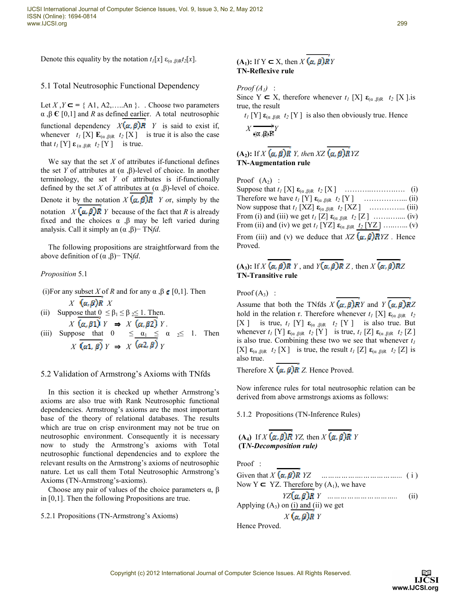Denote this equality by the notation  $t_I[x] \varepsilon_{(\alpha,\beta)R} t_2[x]$ .

## 5.1 Total Neutrosophic Functional Dependency

Let *X*, *Y* ⊂ = { A1, A2, ….. An }. ∴ Choose two parameters α ,β **Є** [0,1] and *R* as defined earlier. A total neutrosophic functional dependency  $X(\alpha, \beta)R$  *Y* is said to exist if, whenever  $t_I$  [X]  $\mathbf{E}_{(\alpha,\beta)R}$   $t_2$  [X] is true it is also the case that  $t_I$  [Y]  $\varepsilon_{(\alpha,\beta)R}$   $t_I$  [Y] is true.

We say that the set  $X$  of attributes if-functional defines the set *Y* of attributes at  $(α, β)$ -level of choice. In another terminology, the set *Y* of attributes is if-functionally defined by the set *X* of attributes at  $(\alpha, \beta)$ -level of choice. Denote it by the notation  $X(\alpha, \beta)R$  *Y or, simply by the* notation *X*  $(\alpha, \beta)$ **R** *Y* because of the fact that *R* is already fixed and the choices  $\alpha$ ,  $\beta$  may be left varied during analysis. Call it simply an (α ,β)− TN*fd*.

The following propositions are straightforward from the above definition of (α ,β)− TN*fd*.

## *Proposition* 5.1

- (i)For any subset *X* of *R* and for any  $\alpha$ ,  $\beta \in [0,1]$ . Then  $X$   $(\alpha, \beta)R$   $X$
- (ii) Suppose that  $0 \leq \beta_1 \leq \beta_2 \leq 1$ . Then.  $X(\alpha, \beta) Y \Rightarrow X(\alpha, \beta) Y$ .
- (iii) Suppose that  $0 \le \alpha_1 \le \alpha_2 \le 1$ . Then  $\overrightarrow{X}$   $\overrightarrow{(\alpha 1, \beta)}$   $\overrightarrow{Y}$   $\Rightarrow$   $\overrightarrow{X}$   $(\alpha 2, \beta)$   $\overrightarrow{Y}$

## 5.2 Validation of Armstrong's Axioms with TNfds

In this section it is checked up whether Armstrong's axioms are also true with Rank Neutrosophic functional dependencies. Armstrong's axioms are the most important base of the theory of relational databases. The results which are true on crisp environment may not be true on neutrosophic environment. Consequently it is necessary now to study the Armstrong's axioms with Total neutrosophic functional dependencies and to explore the relevant results on the Armstrong's axioms of neutrosophic nature. Let us call them Total Neutrosophic Armstrong's Axioms (TN-Armstrong's-axioms).

Choose any pair of values of the choice parameters  $α$ ,  $β$ in [0,1]. Then the following Propositions are true.

5.2.1 Propositions (TN-Armstrong's Axioms)

# **(A**<sub>**1**</sub>): If Y ⊂ X, then  $X$   $(\alpha, \beta)$ RY **TN-Reflexive rule**

 $Proof (A<sub>1</sub>)$ :

Since Y  $\subset X$ , therefore whenever  $t_i$  [X]  $\varepsilon_{(a, B)R}$   $t_2$  [X ].is true, the result

 $t_I$  [Y]  $\epsilon_{(\alpha,\beta)R}$  *t*<sub>2</sub> [Y] is also then obviously true. Hence  $X \xrightarrow[\mathfrak{C},\mathfrak{G})\mathfrak{R}]{Y}$ 

# **(A<sub>2</sub>):** If  $X(\alpha, \beta)R$  *Y*, then  $XZ(\alpha, \beta)R$   $YZ$ **TN-Augmentation rule**

Proof  $(A_2)$ :

Suppose that *t<sup>1</sup>* [X] **ε**(α ,β)R *t<sup>2</sup>* [X ] ………..……….…. (i) Therefore we have  $t_I$  [Y]  $\epsilon_{(\alpha,\beta)R}$   $t_I$  [Y] ……………... (ii) Now suppose that  $t_I$  [XZ]  $\epsilon_{(\alpha,\beta)R}$   $t_I$  [XZ] …………... (iii) From (i) and (iii) we get  $t_I$  [Z]  $\epsilon_{(\alpha,\beta)R}$   $t_2$  [Z] ……........... (iv) From (ii) and (iv) we get  $t_1$  [YZ]  $\varepsilon_{(\alpha,\beta)R}$   $t_2$  [YZ] …........ (v) From (iii) and (v) we deduce that  $XZ(\alpha, \beta)RYZ$ . Hence Proved.

# $(A_3)$ : If  $X(\alpha, \beta)R$  *Y*, and  $Y(\alpha, \beta)R$  *Z*, then  $X(\alpha, \beta)RZ$ **TN-Transitive rule**

Proof  $(A_3)$  :

Assume that both the TNfds  $X(\alpha, \beta)RY$  and  $Y(\alpha, \beta)RZ$ hold in the relation r. Therefore whenever  $t_I$  [X]  $\epsilon_{(\alpha,\beta)R}$   $t_2$ [X ] is true,  $t_I$  [Y]  $\varepsilon_{(\alpha,\beta)R}$   $t_I$  [Y ] is also true. But whenever  $t_I$  [Y]  $\mathbf{\varepsilon}_{(\alpha,\beta)R}$   $t_I$  [Y] is true,  $t_I$  [Z]  $\mathbf{\varepsilon}_{(\alpha,\beta)R}$   $t_I$  [Z] is also true. Combining these two we see that whenever *t<sup>1</sup>* [X]  $\epsilon_{(\alpha,\beta)R}$  *t*<sub>2</sub> [X] is true, the result *t<sub>1</sub>* [Z]  $\epsilon_{(\alpha,\beta)R}$  *t*<sub>2</sub> [Z] is also true.

Therefore  $X$   $(a, \beta)R$  Z. Hence Proved.

Now inference rules for total neutrosophic relation can be derived from above armstrongs axioms as follows:

5.1.2 Propositions (TN-Inference Rules)

## $(A_4)$  If  $X$   $(a, \beta)$ **R**  $YZ$ , then  $X$   $(a, \beta)$ **R**  $Y$ **(T***N-Decomposition rule)*

Proof :

| Now Y $\subset$ YZ. Therefore by $(A_1)$ , we have |  |
|----------------------------------------------------|--|
|                                                    |  |
| Applying $(A_3)$ on (i) and (ii) we get            |  |

 $X$ (a, B)R Y

Hence Proved.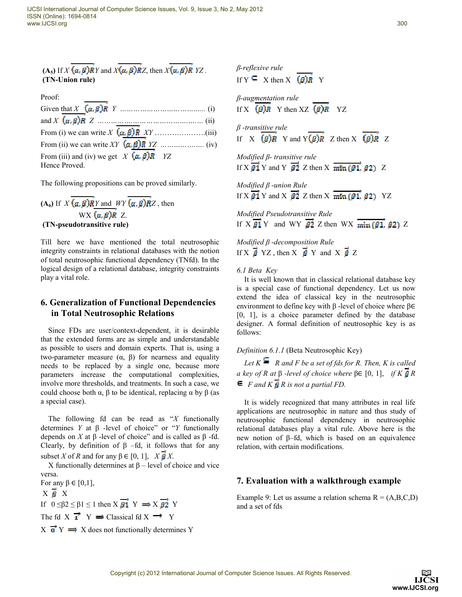(A<sub>5</sub>) If 
$$
X
$$
 ( $\alpha$ ,  $\beta$ ) $\overline{R}Y$  and  $X(\alpha, \beta)$  $\overline{R}Z$ , then  $X(\alpha, \beta)$  $\overline{R}YZ$ .  
(TN-Union rule)

| Proof:                                            |  |
|---------------------------------------------------|--|
|                                                   |  |
|                                                   |  |
|                                                   |  |
|                                                   |  |
| From (iii) and (iv) we get $X(\alpha, \beta)R$ YZ |  |
| Hence Proved.                                     |  |

The following propositions can be proved similarly.

 $(A_6)$  If  $X \overline{(a, \beta)}$  *RY* and *WY*  $\overline{(a, \beta)}$  *RZ*, then  $WX$   $(\alpha, \beta)R$  Z. **(TN-pseudotransitive rule)** 

Till here we have mentioned the total neutrosophic integrity constraints in relational databases with the notion of total neutrosophic functional dependency (TNfd). In the logical design of a relational database, integrity constraints play a vital role.

## **6. Generalization of Functional Dependencies in Total Neutrosophic Relations**

Since FDs are user/context-dependent, it is desirable that the extended forms are as simple and understandable as possible to users and domain experts. That is, using a two-parameter measure (α, β) for nearness and equality needs to be replaced by a single one, because more parameters increase the computational complexities, involve more thresholds, and treatments. In such a case, we could choose both  $\alpha$ ,  $\beta$  to be identical, replacing  $\alpha$  by  $\beta$  (as a special case).

The following fd can be read as "*X* functionally determines *Y* at β *-*level of choice" or "*Y* functionally depends on *X* at  $β$  -level of choice" and is called as  $β$  -fd. Clearly, by definition of  $β$  –fd, it follows that for any subset *X* of *R* and for any  $\beta \in [0, 1]$ ,  $X \overrightarrow{B} X$ .

X functionally determines at β – level of choice and vice versa.

For any  $β ∈ [0,1]$ ,  $X \times X$ If  $0 \leq \beta 2 \leq \beta 1 \leq 1$  then  $X \overrightarrow{g_1} Y \implies X \overrightarrow{g_2} Y$ The fd X  $\overrightarrow{1}$  Y  $\Rightarrow$  Classical fd X  $\rightarrow$  Y  $X \overrightarrow{p} Y \implies X$  does not functionally determines Y *β-reflexive rule*  If  $Y \subseteq X$  then  $X \subseteq B$ **R** Y *β-augmentation rule*  If X  $(\beta)$ R Y then XZ  $(\beta)$ R YZ *β -transitive rule* If X  $\overrightarrow{(B)R}$  Y and Y  $\overrightarrow{(B)R}$  Z then X  $\overrightarrow{(B)R}$  Z

*Modified β- transitive rule*  If X  $\overrightarrow{B_1}$  Y and Y  $\overrightarrow{B_2}$  Z then X  $\overrightarrow{min (B_1, B_2)}$  Z

*Modified β -union Rule*  If X  $\overrightarrow{\beta_1}$  Y and X  $\overrightarrow{\beta_2}$  Z then X  $\overrightarrow{\min(\beta_1, \beta_2)}$  YZ

*Modified Pseudotransitive Rule*  If  $X \overrightarrow{\beta 1} Y$  and WY  $\overrightarrow{\beta 2} Z$  then WX  $\overrightarrow{\min (\beta 1)} \beta 2$  Z

*Modified β -decomposition Rule*  If X  $\vec{\beta}$  YZ, then X  $\vec{\beta}$  Y and X  $\vec{\beta}$  Z

*6.1 Beta Key* 

It is well known that in classical relational database key is a special case of functional dependency. Let us now extend the idea of classical key in the neutrosophic environment to define key with β -level of choice where β∈ [0, 1], is a choice parameter defined by the database designer. A formal definition of neutrosophic key is as follows:

## *Definition 6.1.1* (Beta Neutrosophic Key)

Let  $K \subseteq R$  and F be a set of fds for R. Then, K is called *a* key of R at  $\beta$  -level of choice where  $\beta \in [0, 1]$ , if K  $\beta R$  $\boldsymbol{\epsilon}$  *F and K B* R is not a partial FD.

It is widely recognized that many attributes in real life applications are neutrosophic in nature and thus study of neutrosophic functional dependency in neutrosophic relational databases play a vital rule. Above here is the new notion of β–fd, which is based on an equivalence relation, with certain modifications.

## **7. Evaluation with a walkthrough example**

Example 9: Let us assume a relation schema  $R = (A, B, C, D)$ and a set of fds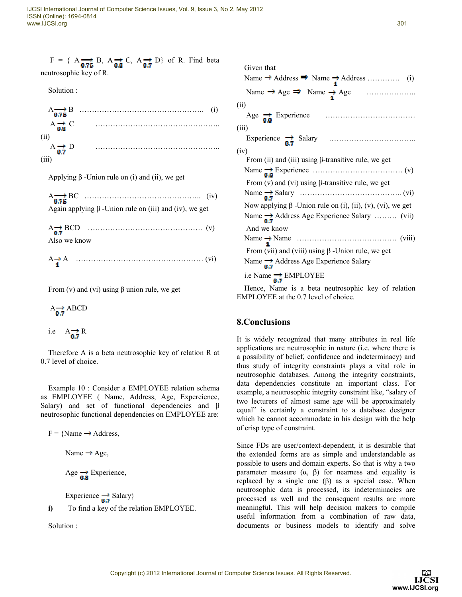| $F = \{ A_{\overrightarrow{0.75}} B, A_{\overrightarrow{0.8}} C, A_{\overrightarrow{0.7}} D \}$ of R. Find beta |  |
|-----------------------------------------------------------------------------------------------------------------|--|
| neutrosophic key of R.                                                                                          |  |

Solution :

| $A \rightarrow B$                | (1) |  |
|----------------------------------|-----|--|
| $A \rightarrow C$<br>0.8         |     |  |
| $A_{n7} \nrightarrow D$<br>(111) |     |  |

Applying  $β$  -Union rule on (i) and (ii), we get

| Again applying $\beta$ -Union rule on (iii) and (iv), we get |  |
|--------------------------------------------------------------|--|
| Also we know                                                 |  |
| $A \rightarrow A$ (vi)                                       |  |

From (v) and (vi) using  $\beta$  union rule, we get

 $A \rightarrow BCD$ i.e  $A \rightarrow R$ 

Therefore A is a beta neutrosophic key of relation R at 0.7 level of choice.

Example 10 : Consider a EMPLOYEE relation schema as EMPLOYEE ( Name, Address, Age, Expereience, Salary) and set of functional dependencies and β neutrosophic functional dependencies on EMPLOYEE are:

 $F = \{Name \rightarrow Address,$ Name  $\rightarrow$  Age, Age  $\rightarrow \rightarrow$  Experience, Experience  $\rightarrow$  Salary}

**i)** To find a key of the relation EMPLOYEE.

Solution :

| Given that                                                       |
|------------------------------------------------------------------|
|                                                                  |
|                                                                  |
| (ii)                                                             |
|                                                                  |
| (iii)                                                            |
|                                                                  |
| (iv)                                                             |
| From (ii) and (iii) using $\beta$ -transitive rule, we get       |
|                                                                  |
| From (v) and (vi) using $\beta$ -transitive rule, we get         |
|                                                                  |
| Now applying $\beta$ -Union rule on (i), (ii), (v), (vi), we get |
| Name $\rightarrow$ Address Age Experience Salary  (vii)          |
| And we know                                                      |
|                                                                  |
| From (vii) and (viii) using $\beta$ -Union rule, we get          |
| Name $\rightarrow$ Address Age Experience Salary                 |
| i.e Name $\rightarrow$ EMPLOYEE                                  |
|                                                                  |

EMPLOYEE at the 0.7 level of choice.

# **8.Conclusions**

It is widely recognized that many attributes in real life applications are neutrosophic in nature (i.e. where there is a possibility of belief, confidence and indeterminacy) and thus study of integrity constraints plays a vital role in neutrosophic databases. Among the integrity constraints, data dependencies constitute an important class. For example, a neutrosophic integrity constraint like, "salary of two lecturers of almost same age will be approximately equal" is certainly a constraint to a database designer which he cannot accommodate in his design with the help of crisp type of constraint.

Since FDs are user/context-dependent, it is desirable that the extended forms are as simple and understandable as possible to users and domain experts. So that is why a two parameter measure  $(α, β)$  for nearness and equality is replaced by a single one  $(β)$  as a special case. When neutrosophic data is processed, its indeterminacies are processed as well and the consequent results are more meaningful. This will help decision makers to compile useful information from a combination of raw data, documents or business models to identify and solve